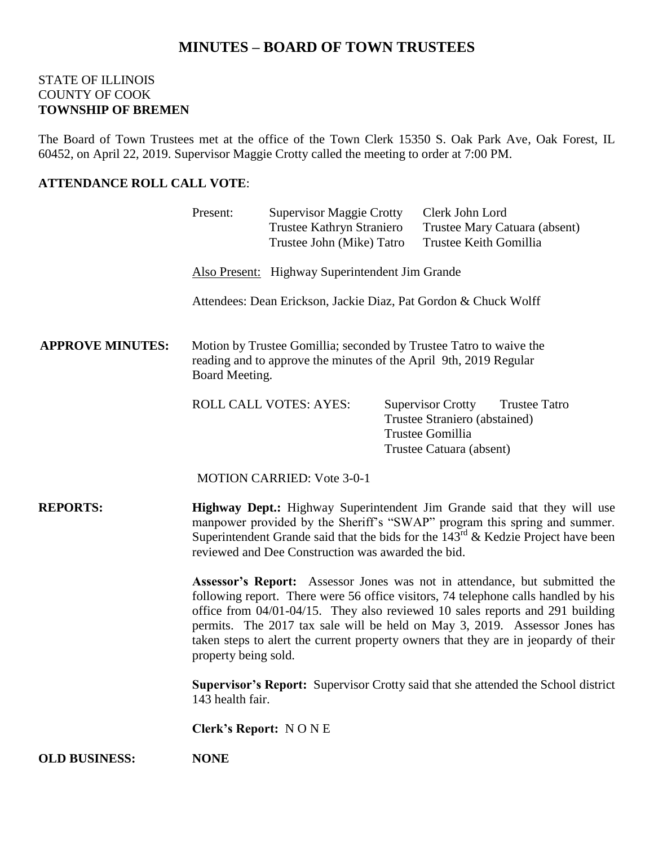# **MINUTES – BOARD OF TOWN TRUSTEES**

#### STATE OF ILLINOIS COUNTY OF COOK **TOWNSHIP OF BREMEN**

The Board of Town Trustees met at the office of the Town Clerk 15350 S. Oak Park Ave, Oak Forest, IL 60452, on April 22, 2019. Supervisor Maggie Crotty called the meeting to order at 7:00 PM.

# **ATTENDANCE ROLL CALL VOTE**:

|                         | Present:                                                                                                                                                                                                                                                                                                                                                                                                                                       | <b>Supervisor Maggie Crotty</b><br>Trustee Kathryn Straniero<br>Trustee John (Mike) Tatro |  | Clerk John Lord<br>Trustee Keith Gomillia                                                                 | Trustee Mary Catuara (absent) |
|-------------------------|------------------------------------------------------------------------------------------------------------------------------------------------------------------------------------------------------------------------------------------------------------------------------------------------------------------------------------------------------------------------------------------------------------------------------------------------|-------------------------------------------------------------------------------------------|--|-----------------------------------------------------------------------------------------------------------|-------------------------------|
|                         | Also Present: Highway Superintendent Jim Grande                                                                                                                                                                                                                                                                                                                                                                                                |                                                                                           |  |                                                                                                           |                               |
|                         | Attendees: Dean Erickson, Jackie Diaz, Pat Gordon & Chuck Wolff                                                                                                                                                                                                                                                                                                                                                                                |                                                                                           |  |                                                                                                           |                               |
| <b>APPROVE MINUTES:</b> | Motion by Trustee Gomillia; seconded by Trustee Tatro to waive the<br>reading and to approve the minutes of the April 9th, 2019 Regular<br>Board Meeting.                                                                                                                                                                                                                                                                                      |                                                                                           |  |                                                                                                           |                               |
|                         |                                                                                                                                                                                                                                                                                                                                                                                                                                                | ROLL CALL VOTES: AYES:                                                                    |  | <b>Supervisor Crotty</b><br>Trustee Straniero (abstained)<br>Trustee Gomillia<br>Trustee Catuara (absent) | <b>Trustee Tatro</b>          |
|                         |                                                                                                                                                                                                                                                                                                                                                                                                                                                | <b>MOTION CARRIED: Vote 3-0-1</b>                                                         |  |                                                                                                           |                               |
| <b>REPORTS:</b>         | Highway Dept.: Highway Superintendent Jim Grande said that they will use<br>manpower provided by the Sheriff's "SWAP" program this spring and summer.<br>Superintendent Grande said that the bids for the $143rd$ & Kedzie Project have been<br>reviewed and Dee Construction was awarded the bid.                                                                                                                                             |                                                                                           |  |                                                                                                           |                               |
|                         | Assessor's Report: Assessor Jones was not in attendance, but submitted the<br>following report. There were 56 office visitors, 74 telephone calls handled by his<br>office from 04/01-04/15. They also reviewed 10 sales reports and 291 building<br>permits. The 2017 tax sale will be held on May 3, 2019. Assessor Jones has<br>taken steps to alert the current property owners that they are in jeopardy of their<br>property being sold. |                                                                                           |  |                                                                                                           |                               |
|                         | Supervisor's Report: Supervisor Crotty said that she attended the School district<br>143 health fair.                                                                                                                                                                                                                                                                                                                                          |                                                                                           |  |                                                                                                           |                               |
|                         | <b>Clerk's Report: NONE</b>                                                                                                                                                                                                                                                                                                                                                                                                                    |                                                                                           |  |                                                                                                           |                               |
| <b>OLD BUSINESS:</b>    | <b>NONE</b>                                                                                                                                                                                                                                                                                                                                                                                                                                    |                                                                                           |  |                                                                                                           |                               |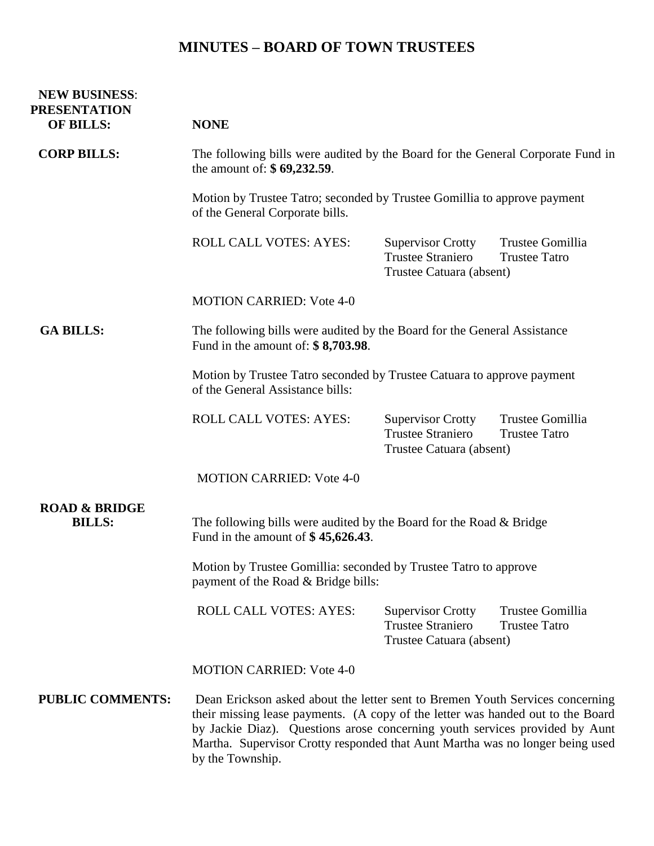# **MINUTES – BOARD OF TOWN TRUSTEES**

| <b>NEW BUSINESS:</b><br><b>PRESENTATION</b><br><b>OF BILLS:</b> | <b>NONE</b>                                                                                                                                                                                                                                                                                                                      |                                                                                  |                                          |  |  |  |
|-----------------------------------------------------------------|----------------------------------------------------------------------------------------------------------------------------------------------------------------------------------------------------------------------------------------------------------------------------------------------------------------------------------|----------------------------------------------------------------------------------|------------------------------------------|--|--|--|
| <b>CORP BILLS:</b>                                              | The following bills were audited by the Board for the General Corporate Fund in<br>the amount of: \$69,232.59.                                                                                                                                                                                                                   |                                                                                  |                                          |  |  |  |
|                                                                 | Motion by Trustee Tatro; seconded by Trustee Gomillia to approve payment<br>of the General Corporate bills.                                                                                                                                                                                                                      |                                                                                  |                                          |  |  |  |
|                                                                 | <b>ROLL CALL VOTES: AYES:</b>                                                                                                                                                                                                                                                                                                    | <b>Supervisor Crotty</b><br><b>Trustee Straniero</b><br>Trustee Catuara (absent) | Trustee Gomillia<br><b>Trustee Tatro</b> |  |  |  |
|                                                                 | <b>MOTION CARRIED: Vote 4-0</b>                                                                                                                                                                                                                                                                                                  |                                                                                  |                                          |  |  |  |
| <b>GA BILLS:</b>                                                | The following bills were audited by the Board for the General Assistance<br>Fund in the amount of: $$8,703.98$ .                                                                                                                                                                                                                 |                                                                                  |                                          |  |  |  |
|                                                                 | Motion by Trustee Tatro seconded by Trustee Catuara to approve payment<br>of the General Assistance bills:                                                                                                                                                                                                                       |                                                                                  |                                          |  |  |  |
|                                                                 | <b>ROLL CALL VOTES: AYES:</b>                                                                                                                                                                                                                                                                                                    | <b>Supervisor Crotty</b><br><b>Trustee Straniero</b><br>Trustee Catuara (absent) | Trustee Gomillia<br><b>Trustee Tatro</b> |  |  |  |
|                                                                 | <b>MOTION CARRIED: Vote 4-0</b>                                                                                                                                                                                                                                                                                                  |                                                                                  |                                          |  |  |  |
| <b>ROAD &amp; BRIDGE</b><br><b>BILLS:</b>                       | The following bills were audited by the Board for the Road $&$ Bridge<br>Fund in the amount of $$45,626.43$ .                                                                                                                                                                                                                    |                                                                                  |                                          |  |  |  |
|                                                                 | Motion by Trustee Gomillia: seconded by Trustee Tatro to approve<br>payment of the Road & Bridge bills:                                                                                                                                                                                                                          |                                                                                  |                                          |  |  |  |
|                                                                 | ROLL CALL VOTES: AYES:                                                                                                                                                                                                                                                                                                           | <b>Supervisor Crotty</b><br><b>Trustee Straniero</b><br>Trustee Catuara (absent) | Trustee Gomillia<br><b>Trustee Tatro</b> |  |  |  |
|                                                                 | <b>MOTION CARRIED: Vote 4-0</b>                                                                                                                                                                                                                                                                                                  |                                                                                  |                                          |  |  |  |
| <b>PUBLIC COMMENTS:</b>                                         | Dean Erickson asked about the letter sent to Bremen Youth Services concerning<br>their missing lease payments. (A copy of the letter was handed out to the Board<br>by Jackie Diaz). Questions arose concerning youth services provided by Aunt<br>Martha. Supervisor Crotty responded that Aunt Martha was no longer being used |                                                                                  |                                          |  |  |  |

by the Township.